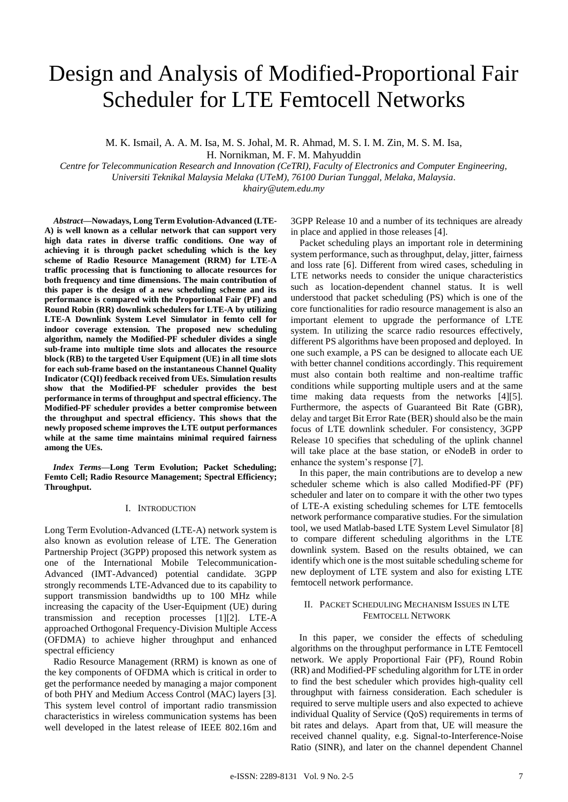# Design and Analysis of Modified-Proportional Fair Scheduler for LTE Femtocell Networks

M. K. Ismail, A. A. M. Isa, M. S. Johal, M. R. Ahmad, M. S. I. M. Zin, M. S. M. Isa, H. Nornikman, M. F. M. Mahyuddin

*Centre for Telecommunication Research and Innovation (CeTRI), Faculty of Electronics and Computer Engineering, Universiti Teknikal Malaysia Melaka (UTeM), 76100 Durian Tunggal, Melaka, Malaysia. khairy@utem.edu.my*

*Abstract***—Nowadays, Long Term Evolution-Advanced (LTE-A) is well known as a cellular network that can support very high data rates in diverse traffic conditions. One way of achieving it is through packet scheduling which is the key scheme of Radio Resource Management (RRM) for LTE-A traffic processing that is functioning to allocate resources for both frequency and time dimensions. The main contribution of this paper is the design of a new scheduling scheme and its performance is compared with the Proportional Fair (PF) and Round Robin (RR) downlink schedulers for LTE-A by utilizing LTE-A Downlink System Level Simulator in femto cell for indoor coverage extension. The proposed new scheduling algorithm, namely the Modified-PF scheduler divides a single sub-frame into multiple time slots and allocates the resource block (RB) to the targeted User Equipment (UE) in all time slots for each sub-frame based on the instantaneous Channel Quality Indicator (CQI) feedback received from UEs. Simulation results show that the Modified-PF scheduler provides the best performance in terms of throughput and spectral efficiency. The Modified-PF scheduler provides a better compromise between the throughput and spectral efficiency. This shows that the newly proposed scheme improves the LTE output performances while at the same time maintains minimal required fairness among the UEs.**

*Index Terms***—Long Term Evolution; Packet Scheduling; Femto Cell; Radio Resource Management; Spectral Efficiency; Throughput.**

## I. INTRODUCTION

Long Term Evolution-Advanced (LTE-A) network system is also known as evolution release of LTE. The Generation Partnership Project (3GPP) proposed this network system as one of the International Mobile Telecommunication-Advanced (IMT-Advanced) potential candidate. 3GPP strongly recommends LTE-Advanced due to its capability to support transmission bandwidths up to 100 MHz while increasing the capacity of the User-Equipment (UE) during transmission and reception processes [1][2]. LTE-A approached Orthogonal Frequency-Division Multiple Access (OFDMA) to achieve higher throughput and enhanced spectral efficiency

Radio Resource Management (RRM) is known as one of the key components of OFDMA which is critical in order to get the performance needed by managing a major component of both PHY and Medium Access Control (MAC) layers [3]. This system level control of important radio transmission characteristics in wireless communication systems has been well developed in the latest release of IEEE 802.16m and

3GPP Release 10 and a number of its techniques are already in place and applied in those releases [4].

Packet scheduling plays an important role in determining system performance, such as throughput, delay, jitter, fairness and loss rate [6]. Different from wired cases, scheduling in LTE networks needs to consider the unique characteristics such as location-dependent channel status. It is well understood that packet scheduling (PS) which is one of the core functionalities for radio resource management is also an important element to upgrade the performance of LTE system. In utilizing the scarce radio resources effectively, different PS algorithms have been proposed and deployed. In one such example, a PS can be designed to allocate each UE with better channel conditions accordingly. This requirement must also contain both realtime and non-realtime traffic conditions while supporting multiple users and at the same time making data requests from the networks [4][5]. Furthermore, the aspects of Guaranteed Bit Rate (GBR), delay and target Bit Error Rate (BER) should also be the main focus of LTE downlink scheduler. For consistency, 3GPP Release 10 specifies that scheduling of the uplink channel will take place at the base station, or eNodeB in order to enhance the system's response [7].

In this paper, the main contributions are to develop a new scheduler scheme which is also called Modified-PF (PF) scheduler and later on to compare it with the other two types of LTE-A existing scheduling schemes for LTE femtocells network performance comparative studies. For the simulation tool, we used Matlab-based LTE System Level Simulator [8] to compare different scheduling algorithms in the LTE downlink system. Based on the results obtained, we can identify which one is the most suitable scheduling scheme for new deployment of LTE system and also for existing LTE femtocell network performance.

## II. PACKET SCHEDULING MECHANISM ISSUES IN LTE FEMTOCELL NETWORK

In this paper, we consider the effects of scheduling algorithms on the throughput performance in LTE Femtocell network. We apply Proportional Fair (PF), Round Robin (RR) and Modified-PF scheduling algorithm for LTE in order to find the best scheduler which provides high-quality cell throughput with fairness consideration. Each scheduler is required to serve multiple users and also expected to achieve individual Quality of Service (QoS) requirements in terms of bit rates and delays. Apart from that, UE will measure the received channel quality, e.g. Signal-to-Interference-Noise Ratio (SINR), and later on the channel dependent Channel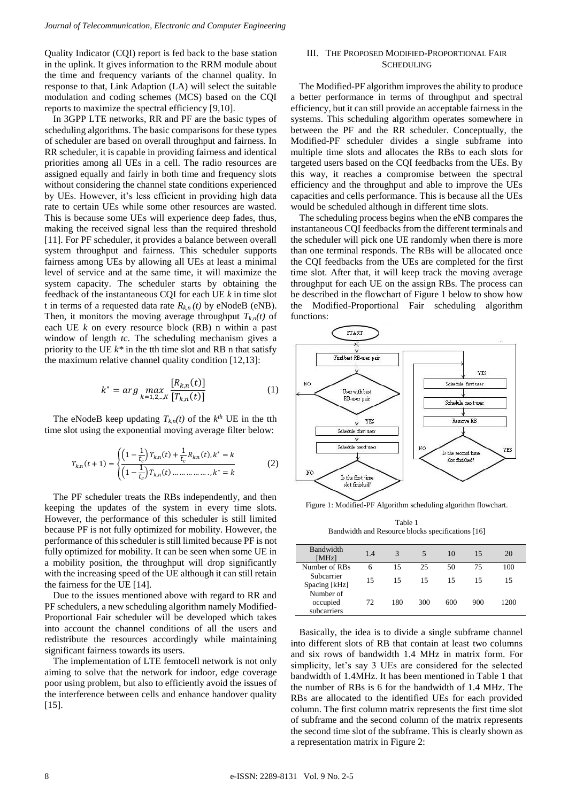Quality Indicator (CQI) report is fed back to the base station in the uplink. It gives information to the RRM module about the time and frequency variants of the channel quality. In response to that, Link Adaption (LA) will select the suitable modulation and coding schemes (MCS) based on the CQI reports to maximize the spectral efficiency [9,10].

In 3GPP LTE networks, RR and PF are the basic types of scheduling algorithms. The basic comparisons for these types of scheduler are based on overall throughput and fairness. In RR scheduler, it is capable in providing fairness and identical priorities among all UEs in a cell. The radio resources are assigned equally and fairly in both time and frequency slots without considering the channel state conditions experienced by UEs. However, it's less efficient in providing high data rate to certain UEs while some other resources are wasted. This is because some UEs will experience deep fades, thus, making the received signal less than the required threshold [11]. For PF scheduler, it provides a balance between overall system throughput and fairness. This scheduler supports fairness among UEs by allowing all UEs at least a minimal level of service and at the same time, it will maximize the system capacity. The scheduler starts by obtaining the feedback of the instantaneous CQI for each UE *k* in time slot t in terms of a requested data rate  $R_{k,n}(t)$  by eNodeB (eNB). Then, it monitors the moving average throughput  $T_{k,n}(t)$  of each UE *k* on every resource block (RB) n within a past window of length *tc*. The scheduling mechanism gives a priority to the UE  $k^*$  in the tth time slot and RB n that satisfy the maximum relative channel quality condition [12,13]:

$$
k^* = arg \max_{k=1,2,\dots,K} \frac{[R_{k,n}(t)]}{[T_{k,n}(t)]}
$$
 (1)

The eNodeB keep updating  $T_{k,n}(t)$  of the  $k^{th}$  UE in the tth time slot using the exponential moving average filter below:

$$
T_{k,n}(t+1) = \begin{cases} \left(1 - \frac{1}{t_c}\right) T_{k,n}(t) + \frac{1}{t_c} R_{k,n}(t), k^* = k\\ \left(1 - \frac{1}{t_c}\right) T_{k,n}(t) \dots \dots \dots \dots \dots, k^* = k \end{cases}
$$
 (2)

The PF scheduler treats the RBs independently, and then keeping the updates of the system in every time slots. However, the performance of this scheduler is still limited because PF is not fully optimized for mobility. However, the performance of this scheduler is still limited because PF is not fully optimized for mobility. It can be seen when some UE in a mobility position, the throughput will drop significantly with the increasing speed of the UE although it can still retain the fairness for the UE [14].

Due to the issues mentioned above with regard to RR and PF schedulers, a new scheduling algorithm namely Modified-Proportional Fair scheduler will be developed which takes into account the channel conditions of all the users and redistribute the resources accordingly while maintaining significant fairness towards its users.

The implementation of LTE femtocell network is not only aiming to solve that the network for indoor, edge coverage poor using problem, but also to efficiently avoid the issues of the interference between cells and enhance handover quality  $[15]$ .

## III. THE PROPOSED MODIFIED-PROPORTIONAL FAIR **SCHEDULING**

The Modified-PF algorithm improves the ability to produce a better performance in terms of throughput and spectral efficiency, but it can still provide an acceptable fairness in the systems. This scheduling algorithm operates somewhere in between the PF and the RR scheduler. Conceptually, the Modified-PF scheduler divides a single subframe into multiple time slots and allocates the RBs to each slots for targeted users based on the CQI feedbacks from the UEs. By this way, it reaches a compromise between the spectral efficiency and the throughput and able to improve the UEs capacities and cells performance. This is because all the UEs would be scheduled although in different time slots.

The scheduling process begins when the eNB compares the instantaneous CQI feedbacks from the different terminals and the scheduler will pick one UE randomly when there is more than one terminal responds. The RBs will be allocated once the CQI feedbacks from the UEs are completed for the first time slot. After that, it will keep track the moving average throughput for each UE on the assign RBs. The process can be described in the flowchart of Figure 1 below to show how the Modified-Proportional Fair scheduling algorithm functions:



Figure 1: Modified-PF Algorithm scheduling algorithm flowchart.

Table 1 Bandwidth and Resource blocks specifications [16]

| <b>Bandwidth</b><br>[MHz]            | 1.4 | 3   | 5   | 10  | 15  | 20   |
|--------------------------------------|-----|-----|-----|-----|-----|------|
| Number of RBs                        | 6   | 15  | 25  | 50  | 75  | 100  |
| Subcarrier<br>Spacing [kHz]          | 15  | 15  | 15  | 15  | 15  | 15   |
| Number of<br>occupied<br>subcarriers | 72  | 180 | 300 | 600 | 900 | 1200 |

Basically, the idea is to divide a single subframe channel into different slots of RB that contain at least two columns and six rows of bandwidth 1.4 MHz in matrix form. For simplicity, let's say 3 UEs are considered for the selected bandwidth of 1.4MHz. It has been mentioned in Table 1 that the number of RBs is 6 for the bandwidth of 1.4 MHz. The RBs are allocated to the identified UEs for each provided column. The first column matrix represents the first time slot of subframe and the second column of the matrix represents the second time slot of the subframe. This is clearly shown as a representation matrix in Figure 2: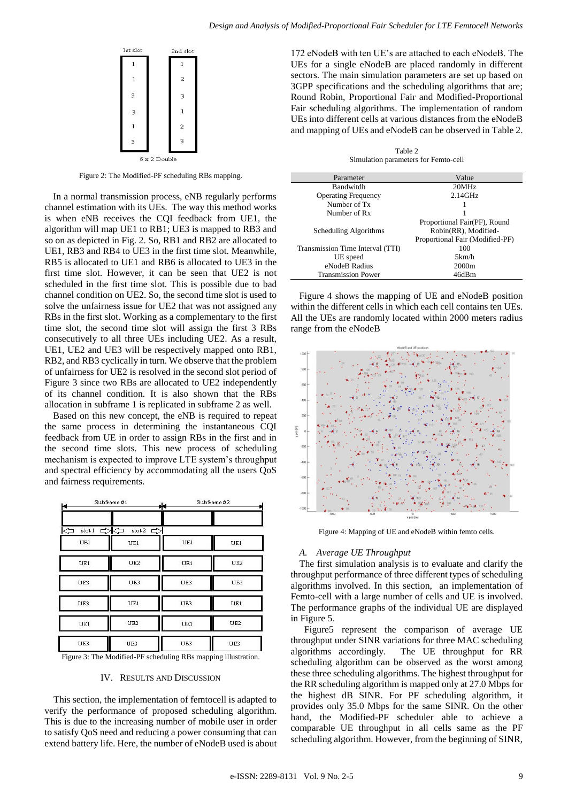

Figure 2: The Modified-PF scheduling RBs mapping.

In a normal transmission process, eNB regularly performs channel estimation with its UEs. The way this method works is when eNB receives the CQI feedback from UE1, the algorithm will map UE1 to RB1; UE3 is mapped to RB3 and so on as depicted in Fig. 2. So, RB1 and RB2 are allocated to UE1, RB3 and RB4 to UE3 in the first time slot. Meanwhile, RB5 is allocated to UE1 and RB6 is allocated to UE3 in the first time slot. However, it can be seen that UE2 is not scheduled in the first time slot. This is possible due to bad channel condition on UE2. So, the second time slot is used to solve the unfairness issue for UE2 that was not assigned any RBs in the first slot. Working as a complementary to the first time slot, the second time slot will assign the first 3 RBs consecutively to all three UEs including UE2. As a result, UE1, UE2 and UE3 will be respectively mapped onto RB1, RB2, and RB3 cyclically in turn. We observe that the problem of unfairness for UE2 is resolved in the second slot period of Figure 3 since two RBs are allocated to UE2 independently of its channel condition. It is also shown that the RBs allocation in subframe 1 is replicated in subframe 2 as well.

Based on this new concept, the eNB is required to repeat the same process in determining the instantaneous CQI feedback from UE in order to assign RBs in the first and in the second time slots. This new process of scheduling mechanism is expected to improve LTE system's throughput and spectral efficiency by accommodating all the users QoS and fairness requirements.

| Subframe #1<br>₩ |                              | Subframe #2 |                 |  |
|------------------|------------------------------|-------------|-----------------|--|
| slot 1<br>⇦      | ಧಿ∤ಧ<br>slot 2 $\Rightarrow$ |             |                 |  |
| UE1              | UE1                          | UE1         | UE1             |  |
| UE1              | UE <sub>2</sub>              | UE1         | UE <sub>2</sub> |  |
| UE3              | UE3                          | UE3         | UE3             |  |
| UE3              | UE1                          | UE3         | UE1             |  |
| UE1              | UE <sub>2</sub>              | UE1         | UE <sub>2</sub> |  |
| UE3              | UE3                          | UE3         | UE3             |  |

Figure 3: The Modified-PF scheduling RBs mapping illustration.

#### IV. RESULTS AND DISCUSSION

This section, the implementation of femtocell is adapted to verify the performance of proposed scheduling algorithm. This is due to the increasing number of mobile user in order to satisfy QoS need and reducing a power consuming that can extend battery life. Here, the number of eNodeB used is about

172 eNodeB with ten UE's are attached to each eNodeB. The UEs for a single eNodeB are placed randomly in different sectors. The main simulation parameters are set up based on 3GPP specifications and the scheduling algorithms that are; Round Robin, Proportional Fair and Modified-Proportional Fair scheduling algorithms. The implementation of random UEs into different cells at various distances from the eNodeB and mapping of UEs and eNodeB can be observed in Table 2.

Table 2 Simulation parameters for Femto-cell

| Parameter                        | Value                           |
|----------------------------------|---------------------------------|
| Bandwitdh                        | 20MHz                           |
| <b>Operating Frequency</b>       | $2.14$ GHz                      |
| Number of Tx                     |                                 |
| Number of Rx                     |                                 |
|                                  | Proportional Fair(PF), Round    |
| Scheduling Algorithms            | Robin(RR), Modified-            |
|                                  | Proportional Fair (Modified-PF) |
| Transmission Time Interval (TTI) | 100                             |
| UE speed                         | 5km/h                           |
| eNodeB Radius                    | 2000 <sub>m</sub>               |
| <b>Transmission Power</b>        | 46dBm                           |

Figure 4 shows the mapping of UE and eNodeB position within the different cells in which each cell contains ten UEs. All the UEs are randomly located within 2000 meters radius range from the eNodeB



Figure 4: Mapping of UE and eNodeB within femto cells.

#### *A. Average UE Throughput*

The first simulation analysis is to evaluate and clarify the throughput performance of three different types of scheduling algorithms involved. In this section, an implementation of Femto-cell with a large number of cells and UE is involved. The performance graphs of the individual UE are displayed in Figure 5.

Figure5 represent the comparison of average UE throughput under SINR variations for three MAC scheduling algorithms accordingly. The UE throughput for RR scheduling algorithm can be observed as the worst among these three scheduling algorithms. The highest throughput for the RR scheduling algorithm is mapped only at 27.0 Mbps for the highest dB SINR. For PF scheduling algorithm, it provides only 35.0 Mbps for the same SINR. On the other hand, the Modified-PF scheduler able to achieve a comparable UE throughput in all cells same as the PF scheduling algorithm. However, from the beginning of SINR,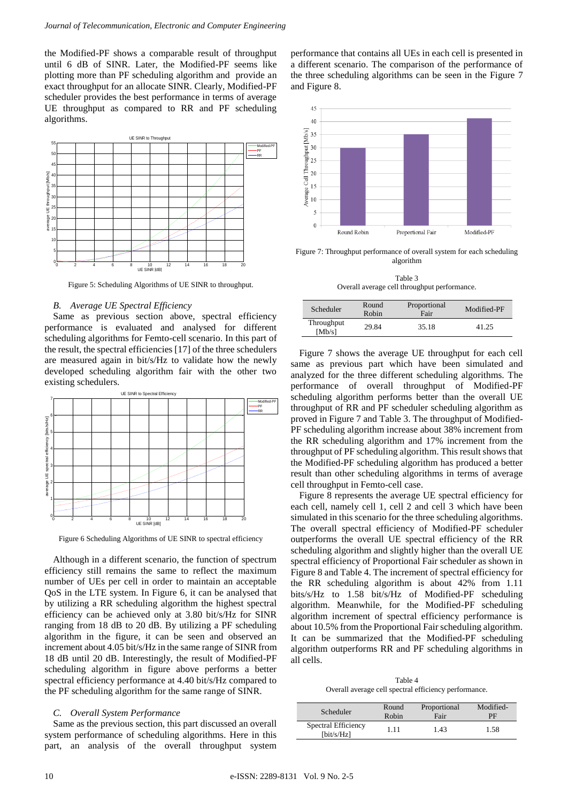the Modified-PF shows a comparable result of throughput until 6 dB of SINR. Later, the Modified-PF seems like plotting more than PF scheduling algorithm and provide an exact throughput for an allocate SINR. Clearly, Modified-PF scheduler provides the best performance in terms of average UE throughput as compared to RR and PF scheduling algorithms.



Figure 5: Scheduling Algorithms of UE SINR to throughput.

## *B. Average UE Spectral Efficiency*

Same as previous section above, spectral efficiency performance is evaluated and analysed for different scheduling algorithms for Femto-cell scenario. In this part of the result, the spectral efficiencies [17] of the three schedulers are measured again in bit/s/Hz to validate how the newly developed scheduling algorithm fair with the other two existing schedulers.



Figure 6 Scheduling Algorithms of UE SINR to spectral efficiency

Although in a different scenario, the function of spectrum efficiency still remains the same to reflect the maximum number of UEs per cell in order to maintain an acceptable QoS in the LTE system. In Figure 6, it can be analysed that by utilizing a RR scheduling algorithm the highest spectral efficiency can be achieved only at 3.80 bit/s/Hz for SINR ranging from 18 dB to 20 dB. By utilizing a PF scheduling algorithm in the figure, it can be seen and observed an increment about 4.05 bit/s/Hz in the same range of SINR from 18 dB until 20 dB. Interestingly, the result of Modified-PF scheduling algorithm in figure above performs a better spectral efficiency performance at 4.40 bit/s/Hz compared to the PF scheduling algorithm for the same range of SINR.

## *C. Overall System Performance*

Same as the previous section, this part discussed an overall system performance of scheduling algorithms. Here in this part, an analysis of the overall throughput system performance that contains all UEs in each cell is presented in a different scenario. The comparison of the performance of the three scheduling algorithms can be seen in the Figure 7 and Figure 8.



Figure 7: Throughput performance of overall system for each scheduling algorithm

Table 3 Overall average cell throughput performance.

| Scheduler            | Round<br>Robin | Proportional<br>Fair | Modified-PF |
|----------------------|----------------|----------------------|-------------|
| Throughput<br>[Mb/s] | 29.84          | 35.18                | 41.25       |

Figure 7 shows the average UE throughput for each cell same as previous part which have been simulated and analyzed for the three different scheduling algorithms. The performance of overall throughput of Modified-PF scheduling algorithm performs better than the overall UE throughput of RR and PF scheduler scheduling algorithm as proved in Figure 7 and Table 3. The throughput of Modified-PF scheduling algorithm increase about 38% increment from the RR scheduling algorithm and 17% increment from the throughput of PF scheduling algorithm. This result shows that the Modified-PF scheduling algorithm has produced a better result than other scheduling algorithms in terms of average cell throughput in Femto-cell case.

Figure 8 represents the average UE spectral efficiency for each cell, namely cell 1, cell 2 and cell 3 which have been simulated in this scenario for the three scheduling algorithms. The overall spectral efficiency of Modified-PF scheduler outperforms the overall UE spectral efficiency of the RR scheduling algorithm and slightly higher than the overall UE spectral efficiency of Proportional Fair scheduler as shown in Figure 8 and Table 4. The increment of spectral efficiency for the RR scheduling algorithm is about 42% from 1.11 bits/s/Hz to 1.58 bit/s/Hz of Modified-PF scheduling algorithm. Meanwhile, for the Modified-PF scheduling algorithm increment of spectral efficiency performance is about 10.5% from the Proportional Fair scheduling algorithm. It can be summarized that the Modified-PF scheduling algorithm outperforms RR and PF scheduling algorithms in all cells.

Table 4 Overall average cell spectral efficiency performance.

| Scheduler                                  | Round | Proportional | Modified- |
|--------------------------------------------|-------|--------------|-----------|
|                                            | Robin | Fair         | PF        |
| Spectral Efficiency<br>$[\text{bit/s/Hz}]$ | 1.11  | 1.43         | 1.58      |